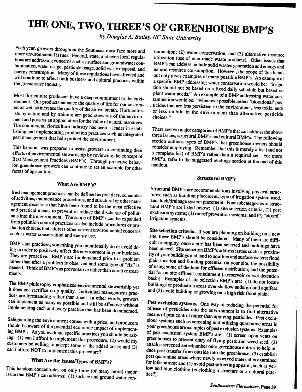# *THE ONE, TWO, THREE'S OF GREENHOUSE BMP'S*

**by Douglas A. Bailey, NC State University**

Each year, growers throughout the Southeast must face more and more environmental issues. Federal, state, and even local regulations are addressing concerns such as surface and groundwater contamination, water usage, pesticide usage, solid waste disposal, and energy consumption. Many of these regulations have affected and will continue to affect both business and cultural practices within the greenhouse industry.

Most floriculture producers have adeep commitment to the envi ronment. Our products enhance the quality of life for our customers as well as increase the quality of the air we breath. Horticulturists by nature and by training are good stewards of the environ ment and possess an appreciation for the value of natural resources. The commercial floriculture industry has been a leader in establishing and implementing production practices such as integrated pest management that help protect the environment.

This handout was prepared to assist growers in continuing their efforts of environmental stewardship by reviewing the concep<sup>t</sup> of Best Management Practices (BMP's). Through proactive behav ior, greenhouse growers can continue to set an example for other facets of agriculture.

# *What Are BMP's?*

Best management practices can be defined as practices, schedules of activities, maintenance procedures, and structural or other management decisions that have been found to be the most effective and practical means to prevent or reduce the discharge of pollutants into the environment. The scope of BMP's can be expanded<br>from pollution control practices to also include procedures or pro-<br>duction choices that address other current environmental concerns such as water conservation and energy use.

BMP's are practices; something you intentionally do or avoid doing in order to positively affect the environment in your business.<br>They are proactive. BMP's are implemented prior to a problem rather than after a problem is observed and some type of "fix" is needed. Think of BMP's as preventative rather than curative treatments.

The BMP <sup>p</sup>hilosophy emphasizes environmental stewardship yet it does not sacrifice crop quality. Individual management prac tices are freestanding rather than aset. In other words, growers can implement as many as possible and still be effective without implementing each and every practice that has been documented.

Safeguarding the environment comes with a price, and producers should be aware of the potential economic impact of implementing BMP's. As you evaluate specific practices you should be asking: (1) can I afford to implement this procedure; (2) would my customers be willing to accept some of the added costs; and (3) can I afford NOT to implement this procedure?

# *What Are the Issues/Types of BMP's?*

This handout concentrates on only three (of many more) major issue that BMP's can address: (1) surface and groun<sup>d</sup> water con

tamination; (2) water conservation; and (3) alternative resource utilization (use of man-made waste products). Other issues that BMP's can address include solid wastes generation and energy and natural resource consumption. However, the scope of this hand out only gives examples of many possible BMP's. An example of a specific BMP addressing water conservation would be: "irrigation should not be based on a fixed daily schedule but based on plant water needs." An example of a BMP addressing water contamination would be: "whenever possible, select 'biorational' pesticides that are less persistent in the environment, less toxic, and/ or less mobile in the environment than alternative pesticide choices."

There are two major categories of BMP's that can address the above three issues, structural BMP's and cultural BMP's. The following section outlines types of BMP's that greenhouse owners should consider employing. Remember that this is merely alist (and not a complete list) of BMP's rather than a required set. For more BMP's, refer to the suggested readings section at the end of this handout.

# *Structural BMP's*

Structural BMP's are recommendations involving physical structures, such as building placement, type of irrigation system used, and ditch/drainage system placement. Four subcategories of structural BMP's are listed below: (1) site selection criteria; (2) pest exclusion systems; (3) runoff prevention systems; and (4) "closed" irrigation systems.

*Site selection criteria.* If you are planning on building on anew site, these BMP's should be considered. Many of them are diffi cult to employ, once a site has been selected and buildings have been placed. Site selection BMP's address issues such as proximity of your buildings and land to aquifers and surface waters; flood<br>plain location and flooding potential on your site; the possibility of using some of the land for effluent distribution; and the potential for on-site effluent containment (a reservoir or wet detention basin). Examples of site selection BMP's are: (1) do not locate buildings or production areas over shallow underground aquifers; and (2) avoid building or growing on a high risk flood plain.

*Pest exclusion systems.* One way of reducing the potential for release of pesticides into the environment is to find alternative means of pest control rather than applying pesticides. Pest exclusions systems such as screening and utilizing quarantine areas in<br>your greenhouse are examples of pest exclusion systems. Examples of pest exclusion system BMP's are: (1) screen open vents on greenhouses to prevent entry of flying pests and weed seed; (2) attach a screened antechamber onto greenhouse entries to help reduce pest transfer from outside into the greenhouse; (3) establish<br>pest quarantine areas where newly received material is examined for infestations; and (4) avoid pest-attracting apparel, such as yellow and blue clothing (is clothing a structure or a cultural practice?).

Ŷ

Ŷ.

f.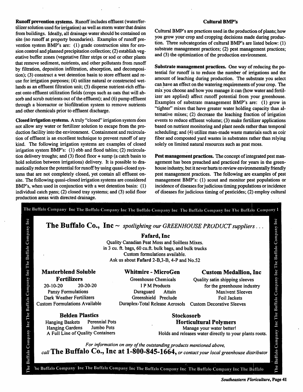Runoff prevention systems. Runoffincludes effluent (water/fer tilizer solution used for irrigation) as well as storm water that drains from buildings. Ideally, all drainage water should be contained on site (no runoff at property boundaries). Examples of runoff pre vention system BMP's are: (1) grade construction sites for ero sion control and planned precipitation collection; (2) establish veg etative buffer zones (vegetative filter strips or sod or other plants that remove sediment, nutrients, and other pollutants from runoff by filtration, deposition infiltration, absorption, and decomposi tion); (3) construct a wet detention basin to store effluent and re use for irrigation purposes; (4) utilize natural or constructed wet lands as an effluent filtration unit; (S) disperse nutrient-rich efflu ent onto effluent utilization fields (crops such as oats that will ab sorb and scrub nutrients out of the effluent); and (6) pump effluent through a bioreactor or biofiltration system to remove nutrients and other chemicals prior to effluent discharge.

Closed irrigation systems. A truly "closed" irrigation system does not allow any water or fertilizer solution to escape from the pro duction facility into the environment. Containment and recircula tion of effluent is an excellent technique to prevent runoff of any kind. The following irrigation systems are examples of closed irrigation system BMP's: (1) ebb and flood tables; (2) recircula tion delivery troughs; and (3) flood floor + sump (a catch basin to hold solution between irrigations) delivery. It is possible to dra matically reduce the potential for runoff by using quasi-closed sys tems that are not completely closed, yet contain all effluent onsite. The following quasi-closed irrigation systems are considered BMP's, when used in conjunction with a wet detention basin: (1) individual catch pans; (2) closed tray systems; and (3) solid floor production areas with directed drainage.

# Cultural BMP's

Cultural BMP's are practices used in the production of plants; how you grow your crop and cropping decisions made during produc tion. Three subcategories of cultural BMP's are listed below: (1) substrate management practices; (2) pest management practices; and (3) the optimization of the production environment.

Substrate management practices. One way of reducing the po tential for runoff is to reduce the number of irrigations and the amount of leaching during production. The substrate you select can have an effect on the watering requirements of your crop. The mix you choose and how you manage it can (how water and fertil izer are applied) affect runoff potential from your greenhouse. Examples of substrate management BMP's are: (1) grow in "tighter" mixes that have greater water holding capacity than al ternative mixes; (2) decrease the leaching fraction of irrigation events to reduce effluent volume; (3) make fertilizer applications based on nutrient monitoring and plant needs rather than temporal scheduling; and (4) utilize man-made waste materials such as coir fiber and composted yard wastes in substrates rather than relying solely on limited natural resources such as peat moss.

Pest management practices. The concept of integrated pest man agement has been preached and practiced for years in the green house industry, but it never hurts to review environmentally friendly pest management practices. The following are examples of pest management BMP's: (1) scout and monitor pest populations or incidence of diseases for judicious timing populations or incidence of diseases for judicious timing of pesticides; (2) employ cultural